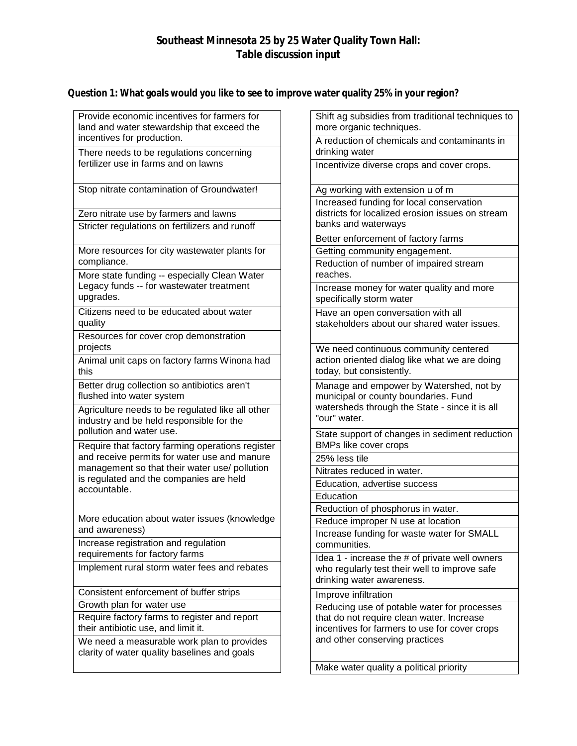# **Southeast Minnesota 25 by 25 Water Quality Town Hall: Table discussion input**

## **Question 1: What goals would you like to see to improve water quality 25% in your region?**

| Provide economic incentives for farmers for<br>land and water stewardship that exceed the    | Shift ag subsidies from traditional techniques to<br>more organic techniques.                                                                              |  |
|----------------------------------------------------------------------------------------------|------------------------------------------------------------------------------------------------------------------------------------------------------------|--|
| incentives for production.<br>There needs to be regulations concerning                       | A reduction of chemicals and contaminants in<br>drinking water                                                                                             |  |
| fertilizer use in farms and on lawns                                                         | Incentivize diverse crops and cover crops.                                                                                                                 |  |
| Stop nitrate contamination of Groundwater!                                                   | Ag working with extension u of m                                                                                                                           |  |
| Zero nitrate use by farmers and lawns                                                        | Increased funding for local conservation<br>districts for localized erosion issues on stream<br>banks and waterways<br>Better enforcement of factory farms |  |
| Stricter regulations on fertilizers and runoff                                               |                                                                                                                                                            |  |
|                                                                                              |                                                                                                                                                            |  |
| More resources for city wastewater plants for                                                | Getting community engagement.                                                                                                                              |  |
| compliance.<br>More state funding -- especially Clean Water                                  | Reduction of number of impaired stream<br>reaches.                                                                                                         |  |
| Legacy funds -- for wastewater treatment                                                     | Increase money for water quality and more                                                                                                                  |  |
| upgrades.                                                                                    | specifically storm water                                                                                                                                   |  |
| Citizens need to be educated about water<br>quality                                          | Have an open conversation with all<br>stakeholders about our shared water issues.                                                                          |  |
| Resources for cover crop demonstration                                                       |                                                                                                                                                            |  |
| projects                                                                                     | We need continuous community centered<br>action oriented dialog like what we are doing<br>today, but consistently.                                         |  |
| Animal unit caps on factory farms Winona had<br>this                                         |                                                                                                                                                            |  |
| Better drug collection so antibiotics aren't<br>flushed into water system                    | Manage and empower by Watershed, not by<br>municipal or county boundaries. Fund<br>watersheds through the State - since it is all<br>"our" water.          |  |
| Agriculture needs to be regulated like all other<br>industry and be held responsible for the |                                                                                                                                                            |  |
| pollution and water use.<br>Require that factory farming operations register                 | State support of changes in sediment reduction<br>BMPs like cover crops                                                                                    |  |
| and receive permits for water use and manure                                                 | 25% less tile                                                                                                                                              |  |
| management so that their water use/ pollution                                                | Nitrates reduced in water.                                                                                                                                 |  |
| is regulated and the companies are held<br>accountable.                                      | Education, advertise success                                                                                                                               |  |
|                                                                                              | Education                                                                                                                                                  |  |
|                                                                                              | Reduction of phosphorus in water.                                                                                                                          |  |
| More education about water issues (knowledge<br>and awareness)                               | Reduce improper N use at location                                                                                                                          |  |
| Increase registration and regulation                                                         | Increase funding for waste water for SMALL<br>communities.                                                                                                 |  |
| requirements for factory farms<br>Implement rural storm water fees and rebates               | Idea 1 - increase the # of private well owners                                                                                                             |  |
|                                                                                              | who regularly test their well to improve safe<br>drinking water awareness.                                                                                 |  |
| Consistent enforcement of buffer strips                                                      | Improve infiltration                                                                                                                                       |  |
| Growth plan for water use                                                                    | Reducing use of potable water for processes                                                                                                                |  |
| Require factory farms to register and report                                                 | that do not require clean water. Increase                                                                                                                  |  |
| their antibiotic use, and limit it.                                                          | incentives for farmers to use for cover crops<br>and other conserving practices                                                                            |  |
| We need a measurable work plan to provides<br>clarity of water quality baselines and goals   |                                                                                                                                                            |  |
|                                                                                              | Make water quality a political priority                                                                                                                    |  |
|                                                                                              |                                                                                                                                                            |  |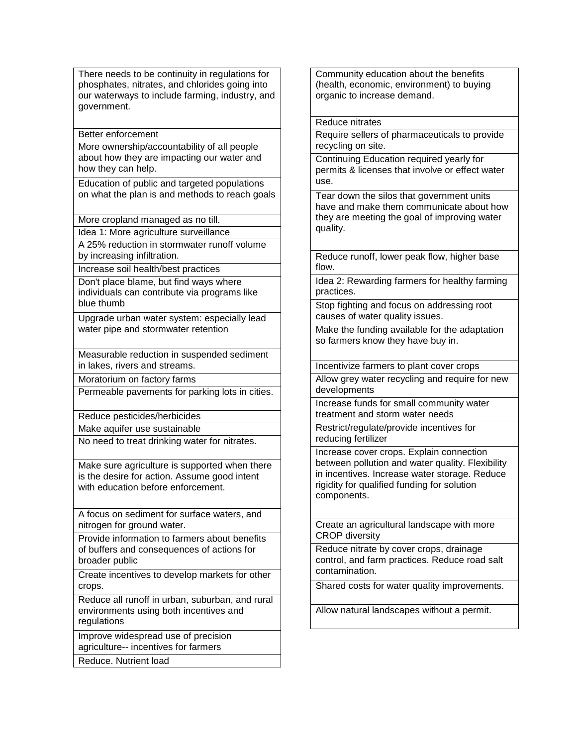There needs to be continuity in regulations for phosphates, nitrates, and chlorides going into our waterways to include farming, industry, and government.

Better enforcement

More ownership/accountability of all people about how they are impacting our water and how they can help.

Education of public and targeted populations on what the plan is and methods to reach goals

More cropland managed as no till.

Idea 1: More agriculture surveillance A 25% reduction in stormwater runoff volume

by increasing infiltration.

Increase soil health/best practices

Don't place blame, but find ways where individuals can contribute via programs like blue thumb

Upgrade urban water system: especially lead water pipe and stormwater retention

Measurable reduction in suspended sediment in lakes, rivers and streams.

Moratorium on factory farms

Permeable pavements for parking lots in cities.

Reduce pesticides/herbicides

Make aquifer use sustainable

No need to treat drinking water for nitrates.

Make sure agriculture is supported when there is the desire for action. Assume good intent with education before enforcement.

A focus on sediment for surface waters, and nitrogen for ground water.

Provide information to farmers about benefits of buffers and consequences of actions for broader public

Create incentives to develop markets for other crops.

Reduce all runoff in urban, suburban, and rural environments using both incentives and regulations

Improve widespread use of precision agriculture-- incentives for farmers

Reduce. Nutrient load

Community education about the benefits (health, economic, environment) to buying organic to increase demand.

#### Reduce nitrates

Require sellers of pharmaceuticals to provide recycling on site.

Continuing Education required yearly for permits & licenses that involve or effect water use.

Tear down the silos that government units have and make them communicate about how they are meeting the goal of improving water quality.

Reduce runoff, lower peak flow, higher base flow.

Idea 2: Rewarding farmers for healthy farming practices.

Stop fighting and focus on addressing root causes of water quality issues.

Make the funding available for the adaptation so farmers know they have buy in.

Incentivize farmers to plant cover crops

Allow grey water recycling and require for new developments

Increase funds for small community water treatment and storm water needs

Restrict/regulate/provide incentives for reducing fertilizer

Increase cover crops. Explain connection between pollution and water quality. Flexibility in incentives. Increase water storage. Reduce rigidity for qualified funding for solution components.

Create an agricultural landscape with more CROP diversity

Reduce nitrate by cover crops, drainage control, and farm practices. Reduce road salt contamination.

Shared costs for water quality improvements.

Allow natural landscapes without a permit.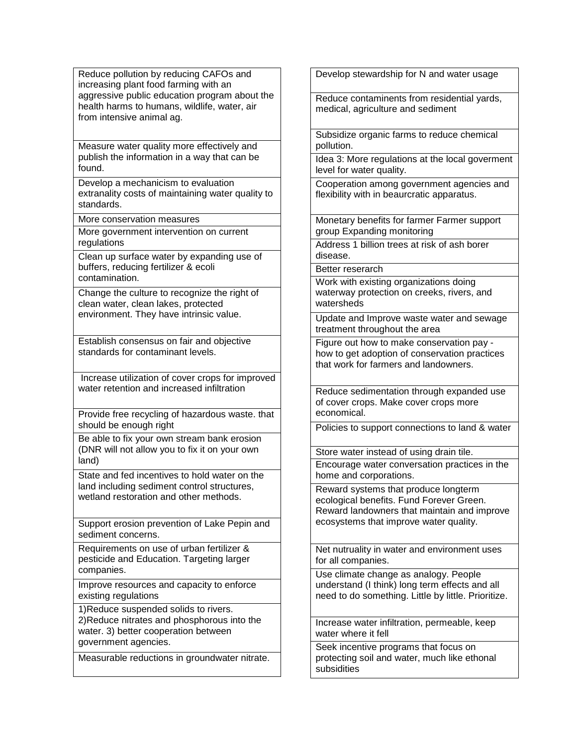Reduce pollution by reducing CAFOs and increasing plant food farming with an aggressive public education program about the health harms to humans, wildlife, water, air from intensive animal ag.

Measure water quality more effectively and publish the information in a way that can be found.

Develop a mechanicism to evaluation extranality costs of maintaining water quality to standards.

More conservation measures

More government intervention on current regulations

Clean up surface water by expanding use of buffers, reducing fertilizer & ecoli contamination.

Change the culture to recognize the right of clean water, clean lakes, protected environment. They have intrinsic value.

Establish consensus on fair and objective standards for contaminant levels.

Increase utilization of cover crops for improved water retention and increased infiltration

Provide free recycling of hazardous waste. that should be enough right

Be able to fix your own stream bank erosion (DNR will not allow you to fix it on your own land)

State and fed incentives to hold water on the land including sediment control structures, wetland restoration and other methods.

Support erosion prevention of Lake Pepin and sediment concerns.

Requirements on use of urban fertilizer & pesticide and Education. Targeting larger companies.

Improve resources and capacity to enforce existing regulations

1)Reduce suspended solids to rivers. 2)Reduce nitrates and phosphorous into the water. 3) better cooperation between government agencies.

Measurable reductions in groundwater nitrate.

Develop stewardship for N and water usage

Reduce contaminents from residential yards, medical, agriculture and sediment

Subsidize organic farms to reduce chemical pollution.

Idea 3: More regulations at the local goverment level for water quality.

Cooperation among government agencies and flexibility with in beaurcratic apparatus.

Monetary benefits for farmer Farmer support group Expanding monitoring

Address 1 billion trees at risk of ash borer disease.

Better reserarch

Work with existing organizations doing waterway protection on creeks, rivers, and watersheds

Update and Improve waste water and sewage treatment throughout the area

Figure out how to make conservation pay how to get adoption of conservation practices that work for farmers and landowners.

Reduce sedimentation through expanded use of cover crops. Make cover crops more economical.

Policies to support connections to land & water

Store water instead of using drain tile. Encourage water conversation practices in the home and corporations.

Reward systems that produce longterm ecological benefits. Fund Forever Green. Reward landowners that maintain and improve ecosystems that improve water quality.

Net nutruality in water and environment uses for all companies.

Use climate change as analogy. People understand (I think) long term effects and all need to do something. Little by little. Prioritize.

Increase water infiltration, permeable, keep water where it fell

Seek incentive programs that focus on protecting soil and water, much like ethonal subsidities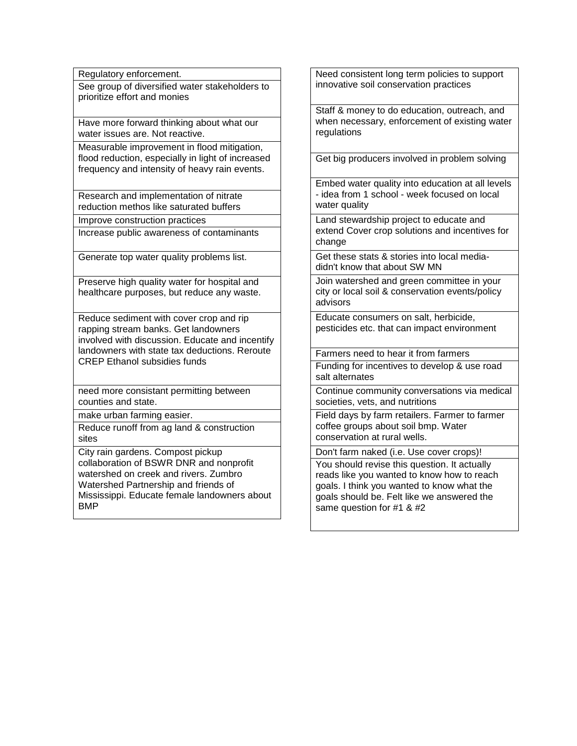Regulatory enforcement.

See group of diversified water stakeholders to prioritize effort and monies

Have more forward thinking about what our water issues are. Not reactive.

Measurable improvement in flood mitigation, flood reduction, especially in light of increased frequency and intensity of heavy rain events.

Research and implementation of nitrate reduction methos like saturated buffers

Improve construction practices

Increase public awareness of contaminants

Generate top water quality problems list.

Preserve high quality water for hospital and healthcare purposes, but reduce any waste.

Reduce sediment with cover crop and rip rapping stream banks. Get landowners involved with discussion. Educate and incentify landowners with state tax deductions. Reroute CREP Ethanol subsidies funds

need more consistant permitting between counties and state.

make urban farming easier.

Reduce runoff from ag land & construction sites

City rain gardens. Compost pickup collaboration of BSWR DNR and nonprofit watershed on creek and rivers. Zumbro Watershed Partnership and friends of Mississippi. Educate female landowners about BMP

Need consistent long term policies to support innovative soil conservation practices

Staff & money to do education, outreach, and when necessary, enforcement of existing water regulations

Get big producers involved in problem solving

Embed water quality into education at all levels - idea from 1 school - week focused on local water quality

Land stewardship project to educate and extend Cover crop solutions and incentives for change

Get these stats & stories into local mediadidn't know that about SW MN

Join watershed and green committee in your city or local soil & conservation events/policy advisors

Educate consumers on salt, herbicide, pesticides etc. that can impact environment

Farmers need to hear it from farmers

Funding for incentives to develop & use road salt alternates

Continue community conversations via medical societies, vets, and nutritions

Field days by farm retailers. Farmer to farmer coffee groups about soil bmp. Water conservation at rural wells.

Don't farm naked (i.e. Use cover crops)!

You should revise this question. It actually reads like you wanted to know how to reach goals. I think you wanted to know what the goals should be. Felt like we answered the same question for #1 & #2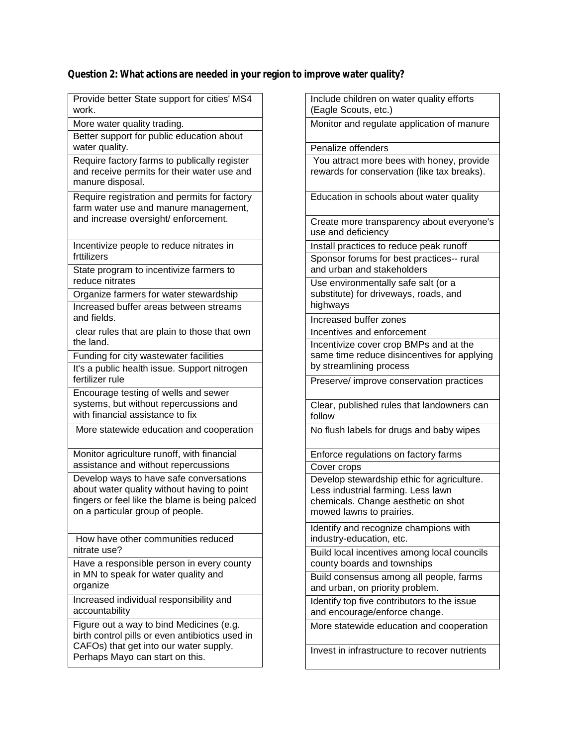## **Question 2: What actions are needed in your region to improve water quality?**

| Provide better State support for cities' MS4<br>work.                                                                                                                        |
|------------------------------------------------------------------------------------------------------------------------------------------------------------------------------|
| More water quality trading.                                                                                                                                                  |
| Better support for public education about<br>water quality.                                                                                                                  |
| Require factory farms to publically register<br>and receive permits for their water use and<br>manure disposal.                                                              |
| Require registration and permits for factory<br>farm water use and manure management,<br>and increase oversight/ enforcement.                                                |
| Incentivize people to reduce nitrates in<br>frttilizers                                                                                                                      |
| State program to incentivize farmers to<br>reduce nitrates                                                                                                                   |
| Organize farmers for water stewardship                                                                                                                                       |
| Increased buffer areas between streams<br>and fields.                                                                                                                        |
| clear rules that are plain to those that own<br>the land.                                                                                                                    |
| Funding for city wastewater facilities                                                                                                                                       |
| It's a public health issue. Support nitrogen<br>fertilizer rule                                                                                                              |
| Encourage testing of wells and sewer<br>systems, but without repercussions and<br>with financial assistance to fix                                                           |
| More statewide education and cooperation                                                                                                                                     |
| Monitor agriculture runoff, with financial<br>assistance and without repercussions                                                                                           |
| Develop ways to have safe conversations<br>about water quality without having to point<br>fingers or feel like the blame is being palced<br>on a particular group of people. |
| How have other communities reduced<br>nitrate use?                                                                                                                           |
| Have a responsible person in every county<br>in MN to speak for water quality and<br>organize                                                                                |
| Increased individual responsibility and<br>accountability                                                                                                                    |
| Figure out a way to bind Medicines (e.g.<br>birth control pills or even antibiotics used in<br>CAFOs) that get into our water supply.<br>Perhaps Mayo can start on this.     |

Include children on water quality efforts (Eagle Scouts, etc.) Monitor and regulate application of manure Penalize offenders You attract more bees with honey, provide rewards for conservation (like tax breaks). Education in schools about water quality Create more transparency about everyone's use and deficiency Install practices to reduce peak runoff Sponsor forums for best practices-- rural and urban and stakeholders Use environmentally safe salt (or a substitute) for driveways, roads, and highways Increased buffer zones Incentives and enforcement Incentivize cover crop BMPs and at the same time reduce disincentives for applying by streamlining process Preserve/ improve conservation practices Clear, published rules that landowners can follow No flush labels for drugs and baby wipes Enforce regulations on factory farms Cover crops Develop stewardship ethic for agriculture. Less industrial farming. Less lawn chemicals. Change aesthetic on shot mowed lawns to prairies. Identify and recognize champions with industry-education, etc. Build local incentives among local councils county boards and townships Build consensus among all people, farms and urban, on priority problem. Identify top five contributors to the issue and encourage/enforce change. More statewide education and cooperation Invest in infrastructure to recover nutrients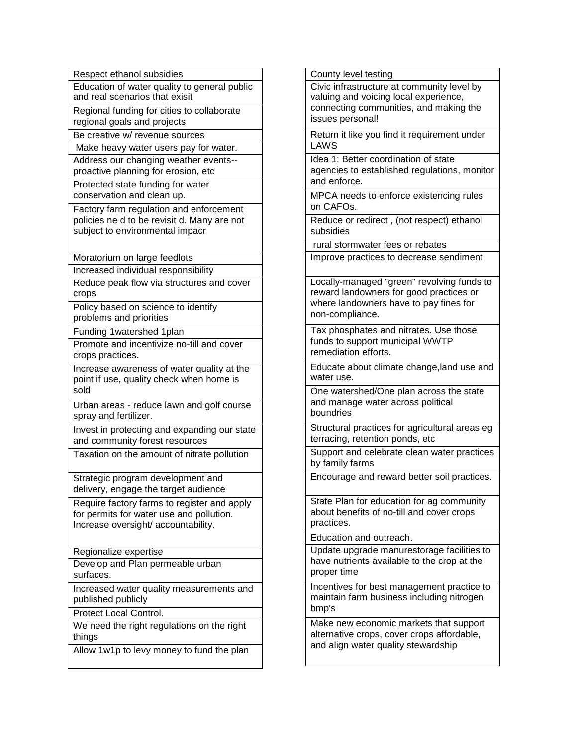| Respect ethanol subsidies                                                               |
|-----------------------------------------------------------------------------------------|
| Education of water quality to general public                                            |
| and real scenarios that exisit                                                          |
| Regional funding for cities to collaborate                                              |
| regional goals and projects                                                             |
| Be creative w/ revenue sources                                                          |
| Make heavy water users pay for water.                                                   |
| Address our changing weather events--                                                   |
| proactive planning for erosion, etc                                                     |
| Protected state funding for water                                                       |
| conservation and clean up.                                                              |
| Factory farm regulation and enforcement                                                 |
| policies ne d to be revisit d. Many are not                                             |
| subject to environmental impacr                                                         |
|                                                                                         |
| Moratorium on large feedlots                                                            |
| Increased individual responsibility                                                     |
| Reduce peak flow via structures and cover<br>crops                                      |
| Policy based on science to identify                                                     |
| problems and priorities                                                                 |
| Funding 1 watershed 1 plan                                                              |
| Promote and incentivize no-till and cover                                               |
| crops practices.                                                                        |
| Increase awareness of water quality at the                                              |
| point if use, quality check when home is                                                |
| sold                                                                                    |
| Urban areas - reduce lawn and golf course                                               |
| spray and fertilizer.                                                                   |
| Invest in protecting and expanding our state                                            |
| and community forest resources                                                          |
| Taxation on the amount of nitrate pollution                                             |
|                                                                                         |
| Strategic program development and<br>delivery, engage the target audience               |
|                                                                                         |
| Require factory farms to register and apply<br>for permits for water use and pollution. |
| Increase oversight/accountability.                                                      |
|                                                                                         |
| Regionalize expertise                                                                   |
| Develop and Plan permeable urban                                                        |
| surfaces.                                                                               |
| Increased water quality measurements and                                                |
| published publicly                                                                      |
| <b>Protect Local Control.</b>                                                           |
| We need the right regulations on the right                                              |
| things                                                                                  |
| Allow 1w1p to levy money to fund the plan                                               |
|                                                                                         |

County level testing Civic infrastructure at community level by valuing and voicing local experience, connecting communities, and making the issues personal! Return it like you find it requirement under LAWS Idea 1: Better coordination of state agencies to established regulations, monitor and enforce. MPCA needs to enforce existencing rules on CAFOs. Reduce or redirect , (not respect) ethanol subsidies rural stormwater fees or rebates Improve practices to decrease sendiment Locally-managed "green" revolving funds to reward landowners for good practices or where landowners have to pay fines for non-compliance. Tax phosphates and nitrates. Use those funds to support municipal WWTP remediation efforts. Educate about climate change,land use and water use. One watershed/One plan across the state and manage water across political boundries Structural practices for agricultural areas eg terracing, retention ponds, etc Support and celebrate clean water practices by family farms Encourage and reward better soil practices. State Plan for education for ag community about benefits of no-till and cover crops practices. Education and outreach. Update upgrade manurestorage facilities to have nutrients available to the crop at the proper time Incentives for best management practice to maintain farm business including nitrogen bmp's Make new economic markets that support alternative crops, cover crops affordable, and align water quality stewardship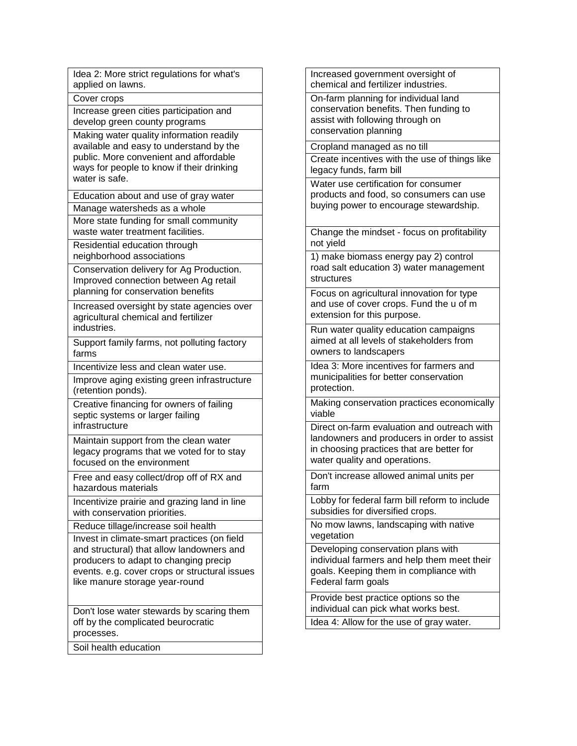| Increased government oversight of<br>chemical and fertilizer industries.                                                           |
|------------------------------------------------------------------------------------------------------------------------------------|
| On-farm planning for individual land                                                                                               |
| conservation benefits. Then funding to                                                                                             |
| assist with following through on                                                                                                   |
| conservation planning                                                                                                              |
| Cropland managed as no till                                                                                                        |
| Create incentives with the use of things like                                                                                      |
| legacy funds, farm bill                                                                                                            |
| Water use certification for consumer                                                                                               |
| products and food, so consumers can use                                                                                            |
| buying power to encourage stewardship.                                                                                             |
|                                                                                                                                    |
| Change the mindset - focus on profitability                                                                                        |
| not yield                                                                                                                          |
| 1) make biomass energy pay 2) control                                                                                              |
| road salt education 3) water management                                                                                            |
| structures                                                                                                                         |
| Focus on agricultural innovation for type                                                                                          |
| and use of cover crops. Fund the u of m                                                                                            |
| extension for this purpose.                                                                                                        |
| Run water quality education campaigns                                                                                              |
| aimed at all levels of stakeholders from                                                                                           |
|                                                                                                                                    |
|                                                                                                                                    |
| owners to landscapers                                                                                                              |
| Idea 3: More incentives for farmers and                                                                                            |
| municipalities for better conservation                                                                                             |
| protection.                                                                                                                        |
|                                                                                                                                    |
| viable                                                                                                                             |
|                                                                                                                                    |
| landowners and producers in order to assist                                                                                        |
| in choosing practices that are better for                                                                                          |
| water quality and operations.                                                                                                      |
| Don't increase allowed animal units per                                                                                            |
| farm                                                                                                                               |
| Lobby for federal farm bill reform to include                                                                                      |
| subsidies for diversified crops.                                                                                                   |
| Making conservation practices economically<br>Direct on-farm evaluation and outreach with<br>No mow lawns, landscaping with native |
| vegetation                                                                                                                         |
| Developing conservation plans with                                                                                                 |
| individual farmers and help them meet their                                                                                        |
| goals. Keeping them in compliance with                                                                                             |
| Federal farm goals                                                                                                                 |
| Provide best practice options so the                                                                                               |
| individual can pick what works best.                                                                                               |
| Idea 4: Allow for the use of gray water.                                                                                           |
|                                                                                                                                    |
|                                                                                                                                    |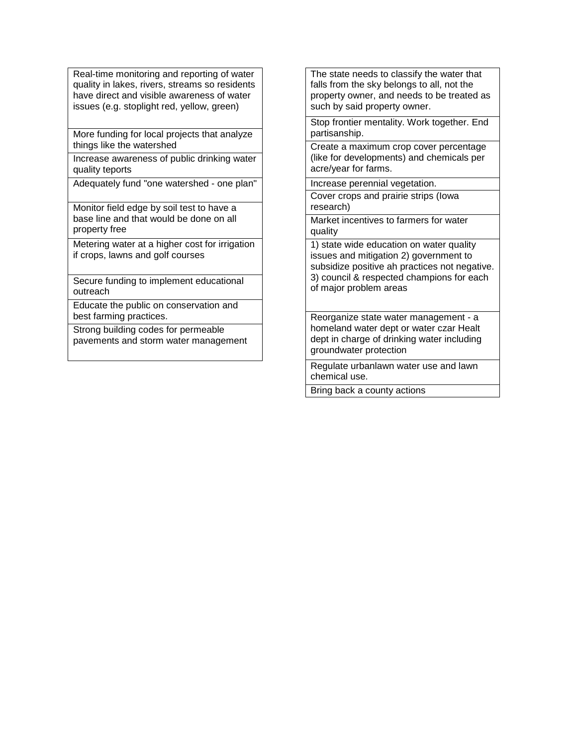Real-time monitoring and reporting of water quality in lakes, rivers, streams so residents have direct and visible awareness of water issues (e.g. stoplight red, yellow, green)

More funding for local projects that analyze things like the watershed

Increase awareness of public drinking water quality teports

Adequately fund "one watershed - one plan"

Monitor field edge by soil test to have a base line and that would be done on all property free

Metering water at a higher cost for irrigation if crops, lawns and golf courses

Secure funding to implement educational outreach

Educate the public on conservation and best farming practices.

Strong building codes for permeable pavements and storm water management

The state needs to classify the water that falls from the sky belongs to all, not the property owner, and needs to be treated as such by said property owner.

Stop frontier mentality. Work together. End partisanship.

Create a maximum crop cover percentage (like for developments) and chemicals per acre/year for farms.

Increase perennial vegetation.

Cover crops and prairie strips (Iowa research)

Market incentives to farmers for water quality

1) state wide education on water quality issues and mitigation 2) government to subsidize positive ah practices not negative. 3) council & respected champions for each of major problem areas

Reorganize state water management - a homeland water dept or water czar Healt dept in charge of drinking water including groundwater protection

Regulate urbanlawn water use and lawn chemical use.

Bring back a county actions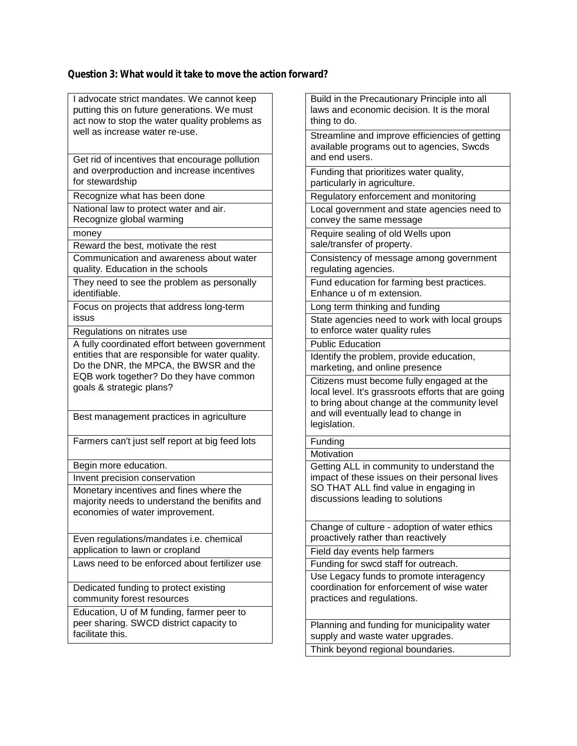### **Question 3: What would it take to move the action forward?**

| I advocate strict mandates. We cannot keep       | В  |
|--------------------------------------------------|----|
| putting this on future generations. We must      | la |
| act now to stop the water quality problems as    | tł |
| well as increase water re-use.                   | S  |
|                                                  |    |
|                                                  | a  |
| Get rid of incentives that encourage pollution   | а  |
| and overproduction and increase incentives       | F  |
| for stewardship                                  | р  |
| Recognize what has been done                     | R  |
| National law to protect water and air.           | L  |
| Recognize global warming                         | C  |
|                                                  | R  |
| money                                            |    |
| Reward the best, motivate the rest               | S, |
| Communication and awareness about water          | C  |
| quality. Education in the schools                | r  |
| They need to see the problem as personally       | F  |
| identifiable.                                    | E  |
| Focus on projects that address long-term         | L  |
| issus                                            | S  |
| Regulations on nitrates use                      | tc |
| A fully coordinated effort between government    | P  |
| entities that are responsible for water quality. |    |
| Do the DNR, the MPCA, the BWSR and the           | Ιc |
| EQB work together? Do they have common           | m  |
| goals & strategic plans?                         | C  |
|                                                  | lc |
|                                                  | tc |
| Best management practices in agriculture         | а  |
|                                                  | le |
| Farmers can't just self report at big feed lots  | F  |
|                                                  | N  |
| Begin more education.                            | G  |
| Invent precision conservation                    | in |
|                                                  | S  |
| Monetary incentives and fines where the          | d  |
| majority needs to understand the benifits and    |    |
| economies of water improvement.                  |    |
|                                                  | C  |
| Even regulations/mandates i.e. chemical          | р  |
| application to lawn or cropland                  | F  |
| Laws need to be enforced about fertilizer use    | F  |
|                                                  | U  |
| Dedicated funding to protect existing            | C١ |
| community forest resources                       | р  |
|                                                  |    |
| Education, U of M funding, farmer peer to        |    |
| peer sharing. SWCD district capacity to          | P  |
| facilitate this.                                 | s۱ |
|                                                  |    |

uild in the Precautionary Principle into all lws and economic decision. It is the moral ing to do. treamline and improve efficiencies of getting vailable programs out to agencies, Swcds nd end users. unding that prioritizes water quality, articularly in agriculture. egulatory enforcement and monitoring ocal government and state agencies need to onvey the same message equire sealing of old Wells upon ale/transfer of property. Consistency of message among government egulating agencies. und education for farming best practices. Enhance u of m extension. ong term thinking and funding tate agencies need to work with local groups to enforce water quality rules ublic Education lentify the problem, provide education, arketing, and online presence itizens must become fully engaged at the cal level. It's grassroots efforts that are going b bring about change at the community level nd will eventually lead to change in gislation. unding **lotivation** etting ALL in community to understand the npact of these issues on their personal lives O THAT ALL find value in engaging in iscussions leading to solutions hange of culture - adoption of water ethics roactively rather than reactively ield day events help farmers unding for swcd staff for outreach. se Legacy funds to promote interagency pordination for enforcement of wise water ractices and regulations. lanning and funding for municipality water upply and waste water upgrades.

Think beyond regional boundaries.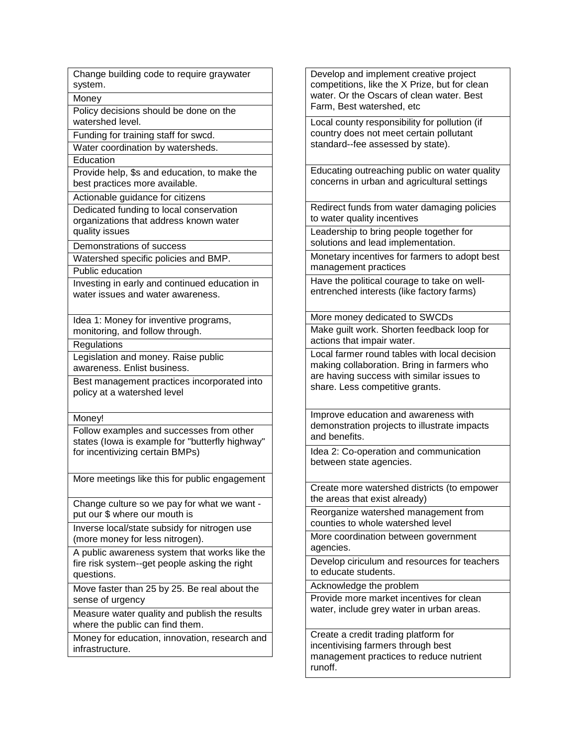| Change building code to require graywater<br>system.                                                                           |
|--------------------------------------------------------------------------------------------------------------------------------|
| Money                                                                                                                          |
| Policy decisions should be done on the<br>watershed level.                                                                     |
| Funding for training staff for swcd.                                                                                           |
| Water coordination by watersheds.                                                                                              |
| Education                                                                                                                      |
| Provide help, \$s and education, to make the<br>best practices more available.                                                 |
| Actionable guidance for citizens                                                                                               |
| Dedicated funding to local conservation                                                                                        |
| organizations that address known water<br>quality issues                                                                       |
| Demonstrations of success                                                                                                      |
| Watershed specific policies and BMP.                                                                                           |
| <b>Public education</b>                                                                                                        |
| Investing in early and continued education in<br>water issues and water awareness.                                             |
| Idea 1: Money for inventive programs,<br>monitoring, and follow through.                                                       |
| Regulations                                                                                                                    |
| Legislation and money. Raise public                                                                                            |
| awareness. Enlist business.                                                                                                    |
| Best management practices incorporated into<br>policy at a watershed level                                                     |
| Money!                                                                                                                         |
| Follow examples and successes from other<br>states (lowa is example for "butterfly highway"<br>for incentivizing certain BMPs) |
| More meetings like this for public engagement                                                                                  |
| Change culture so we pay for what we want -<br>put our \$ where our mouth is                                                   |
| Inverse local/state subsidy for nitrogen use<br>(more money for less nitrogen).                                                |
| A public awareness system that works like the<br>fire risk system--get people asking the right<br>questions.                   |
| Move faster than 25 by 25. Be real about the<br>sense of urgency                                                               |
| Measure water quality and publish the results<br>where the public can find them.                                               |
| Money for education, innovation, research and<br>infrastructure.                                                               |

Develop and implement creative project competitions, like the X Prize, but for clean water. Or the Oscars of clean water. Best Farm, Best watershed, etc Local county responsibility for pollution (if country does not meet certain pollutant standard--fee assessed by state). Educating outreaching public on water quality concerns in urban and agricultural settings Redirect funds from water damaging policies to water quality incentives Leadership to bring people together for solutions and lead implementation. Monetary incentives for farmers to adopt best management practices Have the political courage to take on wellentrenched interests (like factory farms) More money dedicated to SWCDs Make guilt work. Shorten feedback loop for actions that impair water. Local farmer round tables with local decision making collaboration. Bring in farmers who are having success with similar issues to share. Less competitive grants. Improve education and awareness with demonstration projects to illustrate impacts and benefits. Idea 2: Co-operation and communication between state agencies. Create more watershed districts (to empower the areas that exist already) Reorganize watershed management from counties to whole watershed level More coordination between government agencies. Develop ciriculum and resources for teachers to educate students. Acknowledge the problem Provide more market incentives for clean water, include grey water in urban areas. Create a credit trading platform for

incentivising farmers through best management practices to reduce nutrient runoff.